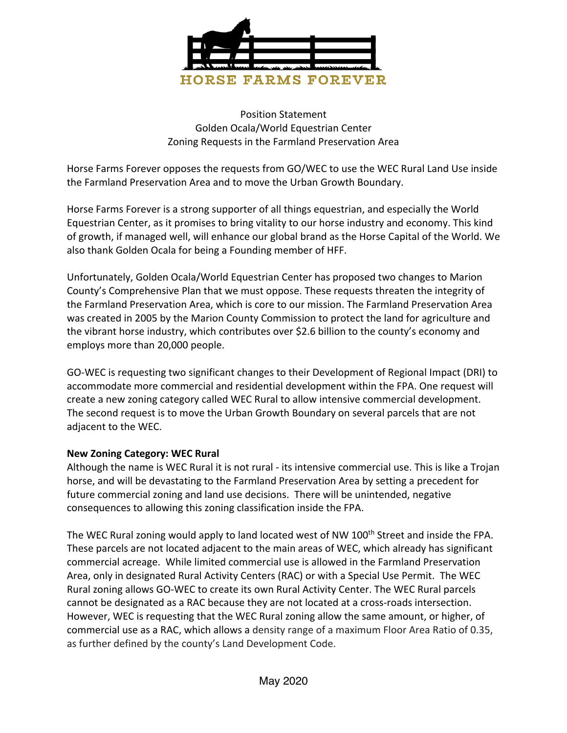

Position Statement Golden Ocala/World Equestrian Center Zoning Requests in the Farmland Preservation Area

Horse Farms Forever opposes the requests from GO/WEC to use the WEC Rural Land Use inside the Farmland Preservation Area and to move the Urban Growth Boundary.

Horse Farms Forever is a strong supporter of all things equestrian, and especially the World Equestrian Center, as it promises to bring vitality to our horse industry and economy. This kind of growth, if managed well, will enhance our global brand as the Horse Capital of the World. We also thank Golden Ocala for being a Founding member of HFF.

Unfortunately, Golden Ocala/World Equestrian Center has proposed two changes to Marion County's Comprehensive Plan that we must oppose. These requests threaten the integrity of the Farmland Preservation Area, which is core to our mission. The Farmland Preservation Area was created in 2005 by the Marion County Commission to protect the land for agriculture and the vibrant horse industry, which contributes over \$2.6 billion to the county's economy and employs more than 20,000 people.

GO-WEC is requesting two significant changes to their Development of Regional Impact (DRI) to accommodate more commercial and residential development within the FPA. One request will create a new zoning category called WEC Rural to allow intensive commercial development. The second request is to move the Urban Growth Boundary on several parcels that are not adjacent to the WEC.

## **New Zoning Category: WEC Rural**

Although the name is WEC Rural it is not rural - its intensive commercial use. This is like a Trojan horse, and will be devastating to the Farmland Preservation Area by setting a precedent for future commercial zoning and land use decisions. There will be unintended, negative consequences to allowing this zoning classification inside the FPA.

The WEC Rural zoning would apply to land located west of NW 100<sup>th</sup> Street and inside the FPA. These parcels are not located adjacent to the main areas of WEC, which already has significant commercial acreage. While limited commercial use is allowed in the Farmland Preservation Area, only in designated Rural Activity Centers (RAC) or with a Special Use Permit. The WEC Rural zoning allows GO-WEC to create its own Rural Activity Center. The WEC Rural parcels cannot be designated as a RAC because they are not located at a cross-roads intersection. However, WEC is requesting that the WEC Rural zoning allow the same amount, or higher, of commercial use as a RAC, which allows a density range of a maximum Floor Area Ratio of 0.35, as further defined by the county's Land Development Code.